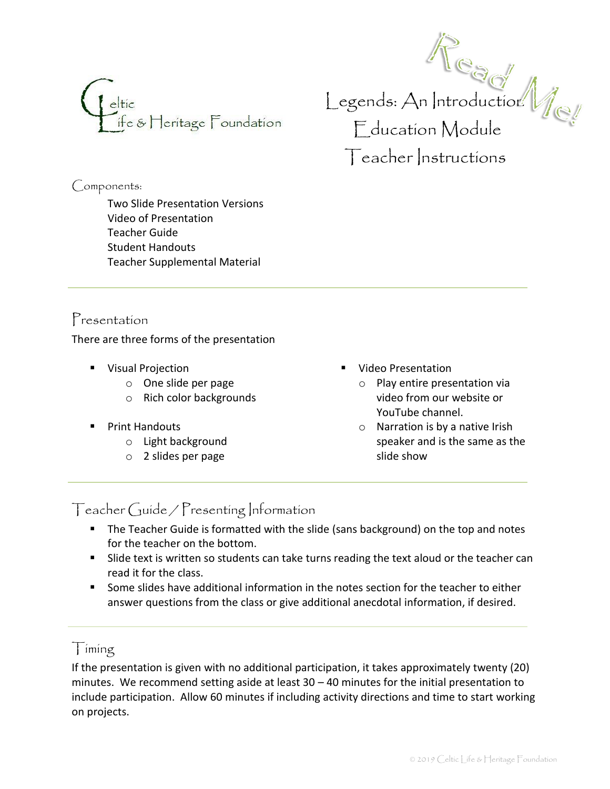

Components:

Two Slide Presentation Versions Video of Presentation Teacher Guide Student Handouts Teacher Supplemental Material

Presentation

There are three forms of the presentation

- Visual Projection
	- o One slide per page
	- o Rich color backgrounds
- **Print Handouts** 
	- o Light background
	- o 2 slides per page
- Video Presentation
	- o Play entire presentation via video from our website or YouTube channel.

 $\bigcup$ egends:  $\bigtriangleup$ n |ntroductior:

Education Module

Teacher Instructions

o Narration is by a native Irish speaker and is the same as the slide show

## Teacher Guide / Presenting Information

- The Teacher Guide is formatted with the slide (sans background) on the top and notes for the teacher on the bottom.
- Slide text is written so students can take turns reading the text aloud or the teacher can read it for the class.
- Some slides have additional information in the notes section for the teacher to either answer questions from the class or give additional anecdotal information, if desired.

#### Timing

If the presentation is given with no additional participation, it takes approximately twenty (20) minutes. We recommend setting aside at least 30 – 40 minutes for the initial presentation to include participation. Allow 60 minutes if including activity directions and time to start working on projects.